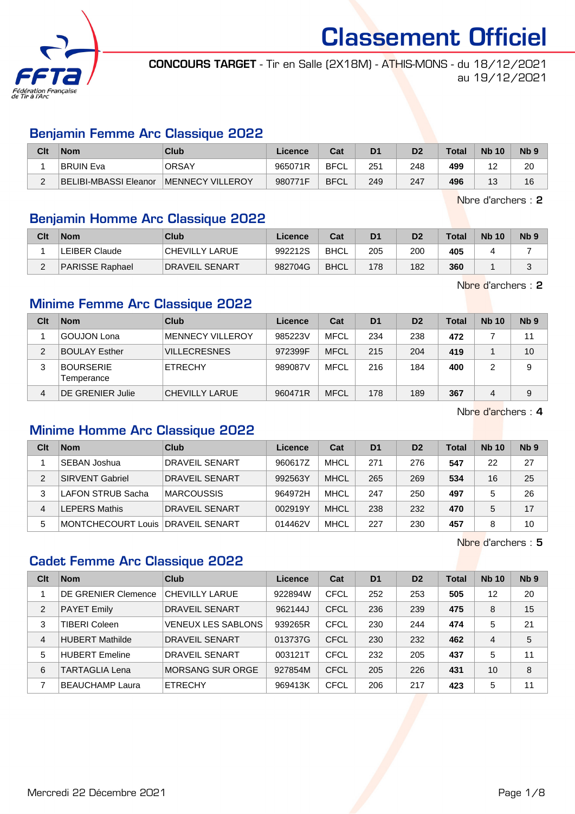

CONCOURS TARGET - Tir en Salle (2X18M) - ATHIS-MONS - du 18/12/2021 au 19/12/2021

#### Benjamin Femme Arc Classique 2022

| Clt | <b>Nom</b>            | Club              | Licence | Cat         | D <sub>1</sub> | D <sub>2</sub> | <b>Total</b> | <b>Nb 10</b> | N <sub>b</sub> <sub>9</sub> |
|-----|-----------------------|-------------------|---------|-------------|----------------|----------------|--------------|--------------|-----------------------------|
|     | <b>BRUIN Eva</b>      | <b>ORSAY</b>      | 965071R | <b>BFCL</b> | 251            | 248            | 499          | -            | 20                          |
|     | BELIBI-MBASSI Eleanor | IMENNECY VILLEROY | 980771F | <b>BFCL</b> | 249            | 247            | 496          | 13           | 16                          |

Nbre d'archers : 2

## Benjamin Homme Arc Classique 2022

| Clt | <b>Nom</b>           | Club                   | Licence | Cat         | D <sub>1</sub> | D <sub>2</sub> | <b>Total</b> | <b>Nb 10</b> | Nb <sub>9</sub> |
|-----|----------------------|------------------------|---------|-------------|----------------|----------------|--------------|--------------|-----------------|
|     | <b>LEIBER Claude</b> | <b>CHEVILLY LARUE</b>  | 992212S | <b>BHCL</b> | 205            | 200            | 405          |              |                 |
|     | PARISSE Raphael      | <b>IDRAVEIL SENART</b> | 982704G | <b>BHCL</b> | 178            | 182            | 360          |              |                 |

Nbre d'archers : 2

## Minime Femme Arc Classique 2022

| Clt | <b>Nom</b>                     | Club                | Licence | Cat         | D <sub>1</sub> | D <sub>2</sub> | <b>Total</b> | <b>Nb 10</b> | N <sub>b</sub> <sub>9</sub> |
|-----|--------------------------------|---------------------|---------|-------------|----------------|----------------|--------------|--------------|-----------------------------|
|     | <b>GOUJON Lona</b>             | MENNECY VILLEROY    | 985223V | <b>MFCL</b> | 234            | 238            | 472          |              | 11                          |
| 2   | <b>BOULAY Esther</b>           | <b>VILLECRESNES</b> | 972399F | <b>MFCL</b> | 215            | 204            | 419          |              | 10                          |
| 3   | <b>BOURSERIE</b><br>Temperance | <b>ETRECHY</b>      | 989087V | <b>MFCL</b> | 216            | 184            | 400          |              | 9                           |
| 4   | DE GRENIER Julie               | CHEVILLY LARUE      | 960471R | <b>MFCL</b> | 178            | 189            | 367          | 4            | 9                           |

Nbre d'archers : 4

## Minime Homme Arc Classique 2022

| Clt | <b>Nom</b>                          | Club                  | Licence | Cat         | D <sub>1</sub> | D <sub>2</sub> | Total | <b>Nb 10</b> | Nb <sub>9</sub> |
|-----|-------------------------------------|-----------------------|---------|-------------|----------------|----------------|-------|--------------|-----------------|
|     | ∣SEBAN Joshua                       | <b>DRAVEIL SENART</b> | 960617Z | <b>MHCL</b> | 271            | 276            | 547   | 22           | 27              |
| 2   | <b>SIRVENT Gabriel</b>              | <b>DRAVEIL SENART</b> | 992563Y | <b>MHCL</b> | 265            | 269            | 534   | 16           | 25              |
| 3   | LAFON STRUB Sacha                   | <b>MARCOUSSIS</b>     | 964972H | <b>MHCL</b> | 247            | 250            | 497   | 5            | 26              |
| 4   | <b>EPERS Mathis</b>                 | <b>DRAVEIL SENART</b> | 002919Y | <b>MHCL</b> | 238            | 232            | 470   | 5            | 17              |
| 5   | MONTCHECOURT Louis   DRAVEIL SENART |                       | 014462V | <b>MHCL</b> | 227            | 230            | 457   |              | 10              |

Nbre d'archers : 5

## Cadet Femme Arc Classique 2022

| Clt            | <b>Nom</b>                 | Club                      | Licence | Cat         | D <sub>1</sub> | D <sub>2</sub> | Total | <b>Nb 10</b> | Nb <sub>9</sub> |
|----------------|----------------------------|---------------------------|---------|-------------|----------------|----------------|-------|--------------|-----------------|
|                | <b>DE GRENIER Clemence</b> | CHEVILLY LARUE            | 922894W | CFCL        | 252            | 253            | 505   | 12           | 20              |
| $\overline{2}$ | <b>PAYET Emily</b>         | DRAVEIL SENART            | 962144J | CFCL        | 236            | 239            | 475   | 8            | 15              |
| 3              | TIBERI Coleen              | <b>VENEUX LES SABLONS</b> | 939265R | CFCL        | 230            | 244            | 474   | 5            | 21              |
| $\overline{4}$ | <b>HUBERT Mathilde</b>     | DRAVEIL SENART            | 013737G | <b>CFCL</b> | 230            | 232            | 462   | 4            | 5               |
| 5              | <b>HUBERT Emeline</b>      | DRAVEIL SENART            | 003121T | CFCL        | 232            | 205            | 437   | 5            | 11              |
| 6              | <b>TARTAGLIA Lena</b>      | <b>MORSANG SUR ORGE</b>   | 927854M | <b>CFCL</b> | 205            | 226            | 431   | 10           | 8               |
| 7              | <b>BEAUCHAMP Laura</b>     | <b>ETRECHY</b>            | 969413K | <b>CFCL</b> | 206            | 217            | 423   | 5            | 11              |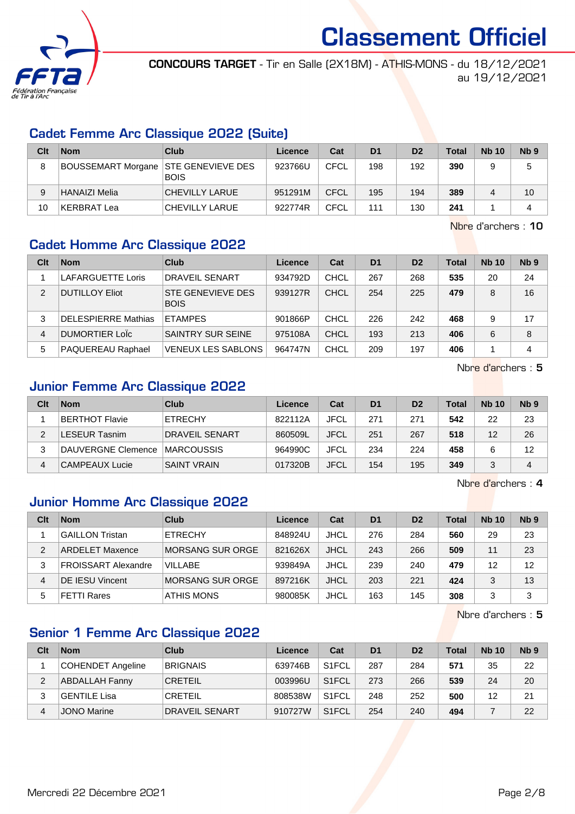

CONCOURS TARGET - Tir en Salle (2X18M) - ATHIS-MONS - du 18/12/2021 au 19/12/2021

#### Cadet Femme Arc Classique 2022 (Suite)

| Clt | <b>Nom</b>           | Club                                    | Licence | Cat  | D <sub>1</sub> | D <sub>2</sub> | <b>Total</b> | <b>Nb 10</b> | N <sub>b</sub> <sub>9</sub> |
|-----|----------------------|-----------------------------------------|---------|------|----------------|----------------|--------------|--------------|-----------------------------|
| 8   | BOUSSEMART Morgane   | <b>STE GENEVIEVE DES</b><br><b>BOIS</b> | 923766U | CFCL | 198            | 192            | 390          | 9            | 5                           |
| 9   | <b>HANAIZI Melia</b> | CHEVILLY LARUE                          | 951291M | CFCL | 195            | 194            | 389          | 4            | 10                          |
| 10  | <b>KERBRAT Lea</b>   | CHEVILLY LARUE                          | 922774R | CFCL | 111            | 130            | 241          |              | 4                           |

Nbre d'archers : 10

## Cadet Homme Arc Classique 2022

| Clt | <b>Nom</b>                 | Club                                    | Licence | Cat         | D <sub>1</sub> | D <sub>2</sub> | <b>Total</b> | <b>Nb 10</b> | Nb <sub>9</sub> |
|-----|----------------------------|-----------------------------------------|---------|-------------|----------------|----------------|--------------|--------------|-----------------|
|     | LAFARGUETTE Loris          | DRAVEIL SENART                          | 934792D | CHCL        | 267            | 268            | 535          | 20           | 24              |
| 2   | <b>DUTILLOY Eliot</b>      | <b>STE GENEVIEVE DES</b><br><b>BOIS</b> | 939127R | CHCL        | 254            | 225            | 479          | 8            | 16              |
| 3   | <b>DELESPIERRE Mathias</b> | <b>ETAMPES</b>                          | 901866P | CHCL        | 226            | 242            | 468          | 9            | 17              |
| 4   | DUMORTIER Lolc             | SAINTRY SUR SEINE                       | 975108A | <b>CHCL</b> | 193            | 213            | 406          | 6            | 8               |
| 5   | PAQUEREAU Raphael          | <b>VENEUX LES SABLONS</b>               | 964747N | CHCL        | 209            | 197            | 406          |              | 4               |

Nbre d'archers : 5

## Junior Femme Arc Classique 2022

| Clt | <b>Nom</b>         | Club                  | Licence | Cat         | D <sub>1</sub> | D <sub>2</sub> | Total | <b>Nb 10</b> | Nb <sub>9</sub> |
|-----|--------------------|-----------------------|---------|-------------|----------------|----------------|-------|--------------|-----------------|
|     | BERTHOT Flavie     | <b>ETRECHY</b>        | 822112A | JFCL        | 271            | 271            | 542   | 22           | 23              |
| 2   | ESEUR Tasnim       | <b>DRAVEIL SENART</b> | 860509L | <b>JFCL</b> | 251            | 267            | 518   | 12           | 26              |
| 3   | DAUVERGNE Clemence | ∣MARCOUSSIS           | 964990C | JFCL        | 234            | 224            | 458   |              | 12              |
| 4   | CAMPEAUX Lucie     | <b>SAINT VRAIN</b>    | 017320B | <b>JFCL</b> | 154            | 195            | 349   |              | 4               |

Nbre d'archers : 4

## Junior Homme Arc Classique 2022

| Clt | <b>Nom</b>                 | Club             | Licence | Cat         | D <sub>1</sub> | D <sub>2</sub> | <b>Total</b> | <b>Nb 10</b> | Nb <sub>9</sub> |
|-----|----------------------------|------------------|---------|-------------|----------------|----------------|--------------|--------------|-----------------|
|     | <b>GAILLON Tristan</b>     | <b>ETRECHY</b>   | 848924U | <b>JHCL</b> | 276            | 284            | 560          | 29           | 23              |
| 2   | <b>ARDELET Maxence</b>     | MORSANG SUR ORGE | 821626X | <b>JHCL</b> | 243            | 266            | 509          | 11           | 23              |
| 3   | <b>FROISSART Alexandre</b> | <b>VILLABE</b>   | 939849A | <b>JHCL</b> | 239            | 240            | 479          | 12           | 12              |
| 4   | <b>DE IESU Vincent</b>     | MORSANG SUR ORGE | 897216K | <b>JHCL</b> | 203            | 221            | 424          | 3            | 13              |
| 5   | FETTI Rares                | ATHIS MONS       | 980085K | <b>JHCL</b> | 163            | 145            | 308          | 3            | 3               |

Nbre d'archers : 5

## Senior 1 Femme Arc Classique 2022

| Clt | <b>Nom</b>            | Club                  | Licence | Cat                | D <sub>1</sub> | D <sub>2</sub> | <b>Total</b> | <b>Nb 10</b> | N <sub>b</sub> <sub>9</sub> |
|-----|-----------------------|-----------------------|---------|--------------------|----------------|----------------|--------------|--------------|-----------------------------|
|     | COHENDET Angeline     | <b>BRIGNAIS</b>       | 639746B | S <sub>1</sub> FCL | 287            | 284            | 571          | 35           | 22                          |
| 2   | <b>ABDALLAH Fanny</b> | <b>CRETEIL</b>        | 003996U | S <sub>1</sub> FCL | 273            | 266            | 539          | 24           | 20                          |
|     | GENTILE Lisa          | <b>CRETEIL</b>        | 808538W | S <sub>1</sub> FCL | 248            | 252            | 500          | 12           | 21                          |
| 4   | <b>JONO Marine</b>    | <b>DRAVEIL SENART</b> | 910727W | S <sub>1</sub> FCL | 254            | 240            | 494          |              | 22                          |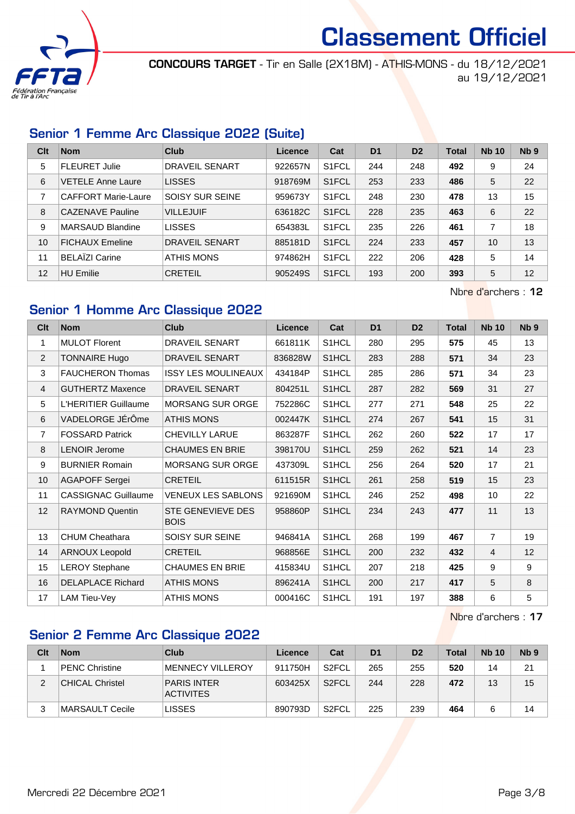

CONCOURS TARGET - Tir en Salle (2X18M) - ATHIS-MONS - du 18/12/2021 au 19/12/2021

## Senior 1 Femme Arc Classique 2022 (Suite)

| Clt | <b>Nom</b>                 | Club                   | Licence | Cat                | D <sub>1</sub> | D <sub>2</sub> | <b>Total</b> | <b>Nb 10</b> | Nb <sub>9</sub> |
|-----|----------------------------|------------------------|---------|--------------------|----------------|----------------|--------------|--------------|-----------------|
| 5   | <b>FLEURET Julie</b>       | DRAVEIL SENART         | 922657N | S <sub>1</sub> FCL | 244            | 248            | 492          | 9            | 24              |
| 6   | VETELE Anne Laure          | <b>LISSES</b>          | 918769M | S <sub>1</sub> FCL | 253            | 233            | 486          | 5            | 22              |
| 7   | <b>CAFFORT Marie-Laure</b> | <b>SOISY SUR SEINE</b> | 959673Y | S <sub>1</sub> FCL | 248            | 230            | 478          | 13           | 15              |
| 8   | <b>CAZENAVE Pauline</b>    | <b>VILLEJUIF</b>       | 636182C | S <sub>1</sub> FCL | 228            | 235            | 463          | 6            | 22              |
| 9   | <b>MARSAUD Blandine</b>    | <b>LISSES</b>          | 654383L | S <sub>1</sub> FCL | 235            | 226            | 461          | 7            | 18              |
| 10  | <b>FICHAUX Emeline</b>     | DRAVEIL SENART         | 885181D | S <sub>1</sub> FCL | 224            | 233            | 457          | 10           | 13              |
| 11  | <b>BELAIZI Carine</b>      | ATHIS MONS             | 974862H | S <sub>1</sub> FCL | 222            | 206            | 428          | 5            | 14              |
| 12  | HU Emilie                  | <b>CRETEIL</b>         | 905249S | S <sub>1</sub> FCL | 193            | 200            | 393          | 5            | 12              |

Nbre d'archers : 12

## Senior 1 Homme Arc Classique 2022

| Cl <sub>t</sub> | <b>Nom</b>                 | <b>Club</b>                             | Licence | Cat   | D <sub>1</sub> | D <sub>2</sub> | <b>Total</b> | <b>Nb 10</b>   | N <sub>b</sub> <sub>9</sub> |
|-----------------|----------------------------|-----------------------------------------|---------|-------|----------------|----------------|--------------|----------------|-----------------------------|
| 1               | <b>MULOT Florent</b>       | <b>DRAVEIL SENART</b>                   | 661811K | S1HCL | 280            | 295            | 575          | 45             | 13                          |
| $\overline{2}$  | <b>TONNAIRE Hugo</b>       | <b>DRAVEIL SENART</b>                   | 836828W | S1HCL | 283            | 288            | 571          | 34             | 23                          |
| 3               | <b>FAUCHERON Thomas</b>    | <b>ISSY LES MOULINEAUX</b>              | 434184P | S1HCL | 285            | 286            | 571          | 34             | 23                          |
| $\overline{4}$  | <b>GUTHERTZ Maxence</b>    | <b>DRAVEIL SENART</b>                   | 804251L | S1HCL | 287            | 282            | 569          | 31             | 27                          |
| 5               | L'HERITIER Guillaume       | <b>MORSANG SUR ORGE</b>                 | 752286C | S1HCL | 277            | 271            | 548          | 25             | 22                          |
| 6               | VADELORGE JÉrÔme           | <b>ATHIS MONS</b>                       | 002447K | S1HCL | 274            | 267            | 541          | 15             | 31                          |
| $\overline{7}$  | <b>FOSSARD Patrick</b>     | <b>CHEVILLY LARUE</b>                   | 863287F | S1HCL | 262            | 260            | 522          | 17             | 17                          |
| 8               | <b>LENOIR Jerome</b>       | <b>CHAUMES EN BRIE</b>                  | 398170U | S1HCL | 259            | 262            | 521          | 14             | 23                          |
| 9               | <b>BURNIER Romain</b>      | <b>MORSANG SUR ORGE</b>                 | 437309L | S1HCL | 256            | 264            | 520          | 17             | 21                          |
| 10              | <b>AGAPOFF Sergei</b>      | <b>CRETEIL</b>                          | 611515R | S1HCL | 261            | 258            | 519          | 15             | 23                          |
| 11              | <b>CASSIGNAC Guillaume</b> | <b>VENEUX LES SABLONS</b>               | 921690M | S1HCL | 246            | 252            | 498          | 10             | 22                          |
| 12              | <b>RAYMOND Quentin</b>     | <b>STE GENEVIEVE DES</b><br><b>BOIS</b> | 958860P | S1HCL | 234            | 243            | 477          | 11             | 13                          |
| 13              | <b>CHUM Cheathara</b>      | SOISY SUR SEINE                         | 946841A | S1HCL | 268            | 199            | 467          | $\overline{7}$ | 19                          |
| 14              | <b>ARNOUX Leopold</b>      | <b>CRETEIL</b>                          | 968856E | S1HCL | 200            | 232            | 432          | $\overline{4}$ | 12                          |
| 15              | <b>LEROY Stephane</b>      | <b>CHAUMES EN BRIE</b>                  | 415834U | S1HCL | 207            | 218            | 425          | 9              | 9                           |
| 16              | <b>DELAPLACE Richard</b>   | <b>ATHIS MONS</b>                       | 896241A | S1HCL | 200            | 217            | 417          | 5              | 8                           |
| 17              | LAM Tieu-Vey               | <b>ATHIS MONS</b>                       | 000416C | S1HCL | 191            | 197            | 388          | 6              | 5                           |

Nbre d'archers : 17

## Senior 2 Femme Arc Classique 2022

| Clt | <b>Nom</b>             | Club                                   | Licence | Cat                | D <sub>1</sub> | D <sub>2</sub> | <b>Total</b> | <b>Nb 10</b> | N <sub>b</sub> <sub>9</sub> |
|-----|------------------------|----------------------------------------|---------|--------------------|----------------|----------------|--------------|--------------|-----------------------------|
|     | <b>PENC Christine</b>  | <b>MENNECY VILLEROY</b>                | 911750H | S <sub>2</sub> FCL | 265            | 255            | 520          | 14           | 21                          |
| 2   | <b>CHICAL Christel</b> | <b>PARIS INTER</b><br><b>ACTIVITES</b> | 603425X | S <sub>2</sub> FCL | 244            | 228            | 472          | 13           | 15                          |
|     | MARSAULT Cecile        | <b>LISSES</b>                          | 890793D | S <sub>2</sub> FCL | 225            | 239            | 464          | 6            | 14                          |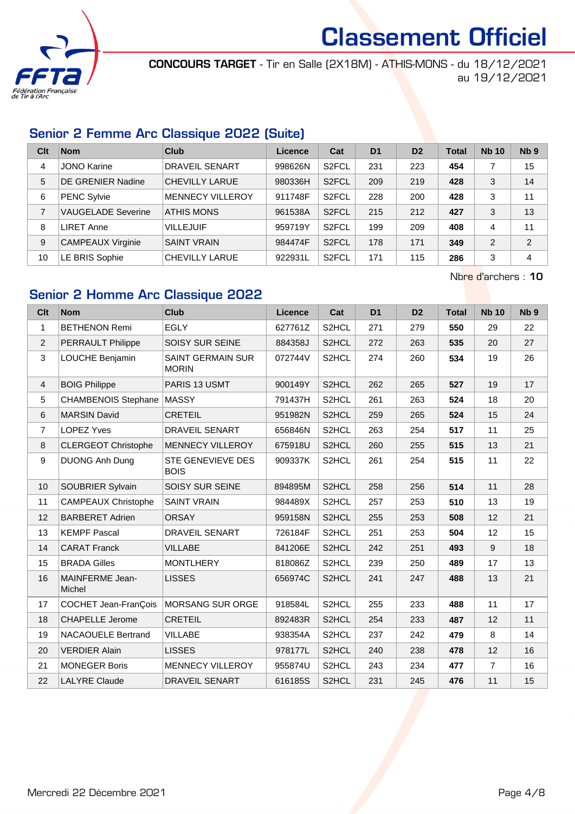

CONCOURS TARGET - Tir en Salle (2X18M) - ATHIS-MONS - du 18/12/2021 au 19/12/2021

## Senior 2 Femme Arc Classique 2022 (Suite)

| Clt            | <b>Nom</b>                | Club                    | Licence | Cat                | D <sub>1</sub> | D <sub>2</sub> | <b>Total</b> | <b>Nb 10</b>   | Nb <sub>9</sub> |
|----------------|---------------------------|-------------------------|---------|--------------------|----------------|----------------|--------------|----------------|-----------------|
| 4              | <b>JONO Karine</b>        | DRAVEIL SENART          | 998626N | S <sub>2</sub> FCL | 231            | 223            | 454          |                | 15              |
| 5              | <b>DE GRENIER Nadine</b>  | <b>CHEVILLY LARUE</b>   | 980336H | S <sub>2</sub> FCL | 209            | 219            | 428          | 3              | 14              |
| 6              | PENC Sylvie               | <b>MENNECY VILLEROY</b> | 911748F | S <sub>2</sub> FCL | 228            | 200            | 428          | 3              | 11              |
| $\overline{7}$ | <b>VAUGELADE Severine</b> | ATHIS MONS              | 961538A | S <sub>2</sub> FCL | 215            | 212            | 427          | 3              | 13              |
| 8              | LIRET Anne                | <b>VILLEJUIF</b>        | 959719Y | S <sub>2</sub> FCL | 199            | 209            | 408          | 4              | 11              |
| 9              | CAMPEAUX Virginie         | <b>SAINT VRAIN</b>      | 984474F | S <sub>2</sub> FCL | 178            | 171            | 349          | $\overline{2}$ | 2               |
| 10             | LE BRIS Sophie            | <b>CHEVILLY LARUE</b>   | 922931L | S <sub>2</sub> FCL | 171            | 115            | 286          | 3              | 4               |

Nbre d'archers : 10

## Senior 2 Homme Arc Classique 2022

| <b>Clt</b>     | <b>Nom</b>                  | <b>Club</b>                              | Licence | Cat                | D <sub>1</sub> | D <sub>2</sub> | <b>Total</b> | <b>Nb 10</b>   | Nb <sub>9</sub> |
|----------------|-----------------------------|------------------------------------------|---------|--------------------|----------------|----------------|--------------|----------------|-----------------|
| 1              | <b>BETHENON Remi</b>        | <b>EGLY</b>                              | 627761Z | S2HCL              | 271            | 279            | 550          | 29             | 22              |
| $\overline{2}$ | PERRAULT Philippe           | SOISY SUR SEINE                          | 884358J | S2HCL              | 272            | 263            | 535          | 20             | 27              |
| 3              | LOUCHE Benjamin             | <b>SAINT GERMAIN SUR</b><br><b>MORIN</b> | 072744V | S2HCL              | 274            | 260            | 534          | 19             | 26              |
| 4              | <b>BOIG Philippe</b>        | PARIS 13 USMT                            | 900149Y | S2HCL              | 262            | 265            | 527          | 19             | 17              |
| 5              | <b>CHAMBENOIS Stephane</b>  | <b>MASSY</b>                             | 791437H | S2HCL              | 261            | 263            | 524          | 18             | 20              |
| 6              | <b>MARSIN David</b>         | <b>CRETEIL</b>                           | 951982N | S2HCL              | 259            | 265            | 524          | 15             | 24              |
| $\overline{7}$ | <b>LOPEZ Yves</b>           | <b>DRAVEIL SENART</b>                    | 656846N | S2HCL              | 263            | 254            | 517          | 11             | 25              |
| 8              | <b>CLERGEOT Christophe</b>  | MENNECY VILLEROY                         | 675918U | S2HCL              | 260            | 255            | 515          | 13             | 21              |
| 9              | <b>DUONG Anh Dung</b>       | <b>STE GENEVIEVE DES</b><br><b>BOIS</b>  | 909337K | S2HCL              | 261            | 254            | 515          | 11             | 22              |
| 10             | SOUBRIER Sylvain            | SOISY SUR SEINE                          | 894895M | S2HCL              | 258            | 256            | 514          | 11             | 28              |
| 11             | <b>CAMPEAUX Christophe</b>  | <b>SAINT VRAIN</b>                       | 984489X | S2HCL              | 257            | 253            | 510          | 13             | 19              |
| 12             | <b>BARBERET Adrien</b>      | <b>ORSAY</b>                             | 959158N | S2HCL              | 255            | 253            | 508          | 12             | 21              |
| 13             | <b>KEMPF Pascal</b>         | <b>DRAVEIL SENART</b>                    | 726184F | S2HCL              | 251            | 253            | 504          | 12             | 15              |
| 14             | <b>CARAT Franck</b>         | <b>VILLABE</b>                           | 841206E | S2HCL              | 242            | 251            | 493          | 9              | 18              |
| 15             | <b>BRADA Gilles</b>         | <b>MONTLHERY</b>                         | 818086Z | S2HCL              | 239            | 250            | 489          | 17             | 13              |
| 16             | MAINFERME Jean-<br>Michel   | <b>LISSES</b>                            | 656974C | S2HCL              | 241            | 247            | 488          | 13             | 21              |
| 17             | <b>COCHET Jean-FranÇois</b> | MORSANG SUR ORGE                         | 918584L | S2HCL              | 255            | 233            | 488          | 11             | 17              |
| 18             | <b>CHAPELLE Jerome</b>      | <b>CRETEIL</b>                           | 892483R | S2HCL              | 254            | 233            | 487          | 12             | 11              |
| 19             | <b>NACAOUELE Bertrand</b>   | <b>VILLABE</b>                           | 938354A | S2HCL              | 237            | 242            | 479          | 8              | 14              |
| 20             | <b>VERDIER Alain</b>        | <b>LISSES</b>                            | 978177L | S2HCL              | 240            | 238            | 478          | 12             | 16              |
| 21             | <b>MONEGER Boris</b>        | MENNECY VILLEROY                         | 955874U | S <sub>2</sub> HCL | 243            | 234            | 477          | $\overline{7}$ | 16              |
| 22             | <b>LALYRE Claude</b>        | <b>DRAVEIL SENART</b>                    | 616185S | S2HCL              | 231            | 245            | 476          | 11             | 15              |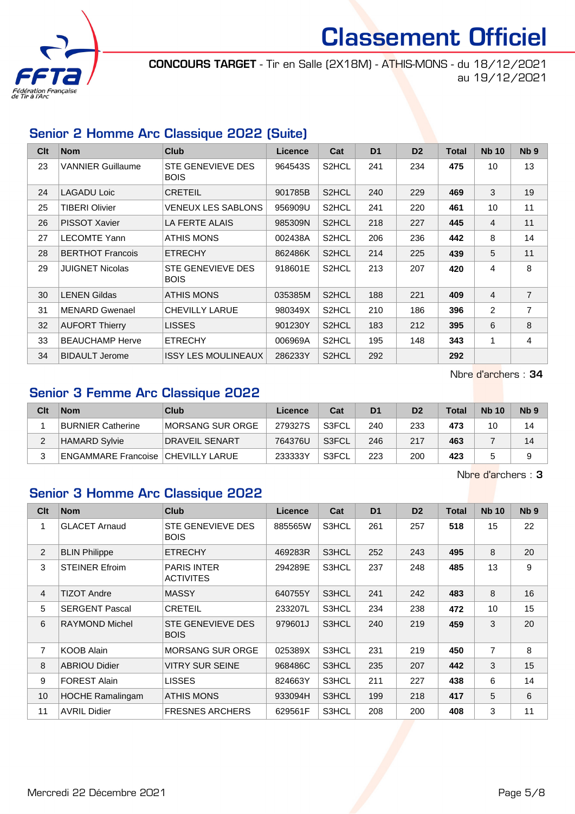

CONCOURS TARGET - Tir en Salle (2X18M) - ATHIS-MONS - du 18/12/2021 au 19/12/2021

#### Senior 2 Homme Arc Classique 2022 (Suite)

| Clt | <b>Nom</b>               | Club                             | Licence | Cat                | D <sub>1</sub> | D <sub>2</sub> | <b>Total</b> | <b>Nb 10</b>   | N <sub>b</sub> <sub>9</sub> |
|-----|--------------------------|----------------------------------|---------|--------------------|----------------|----------------|--------------|----------------|-----------------------------|
| 23  | <b>VANNIER Guillaume</b> | STE GENEVIEVE DES<br><b>BOIS</b> | 964543S | S2HCL              | 241            | 234            | 475          | 10             | 13                          |
| 24  | <b>LAGADU Loic</b>       | <b>CRETEIL</b>                   | 901785B | S2HCL              | 240            | 229            | 469          | 3              | 19                          |
| 25  | TIBERI Olivier           | VENEUX LES SABLONS               | 956909U | S2HCL              | 241            | 220            | 461          | 10             | 11                          |
| 26  | <b>PISSOT Xavier</b>     | LA FERTE ALAIS                   | 985309N | S <sub>2</sub> HCL | 218            | 227            | 445          | 4              | 11                          |
| 27  | <b>LECOMTE Yann</b>      | ATHIS MONS                       | 002438A | S2HCL              | 206            | 236            | 442          | 8              | 14                          |
| 28  | <b>BERTHOT Francois</b>  | <b>ETRECHY</b>                   | 862486K | S2HCL              | 214            | 225            | 439          | 5              | 11                          |
| 29  | <b>JUIGNET Nicolas</b>   | STE GENEVIEVE DES<br><b>BOIS</b> | 918601E | S2HCL              | 213            | 207            | 420          | 4              | 8                           |
| 30  | <b>LENEN Gildas</b>      | ATHIS MONS                       | 035385M | S2HCL              | 188            | 221            | 409          | $\overline{4}$ | $\overline{7}$              |
| 31  | <b>MENARD Gwenael</b>    | <b>CHEVILLY LARUE</b>            | 980349X | S <sub>2</sub> HCL | 210            | 186            | 396          | 2              | $\overline{7}$              |
| 32  | <b>AUFORT Thierry</b>    | <b>LISSES</b>                    | 901230Y | S2HCL              | 183            | 212            | 395          | 6              | 8                           |
| 33  | <b>BEAUCHAMP Herve</b>   | <b>ETRECHY</b>                   | 006969A | S2HCL              | 195            | 148            | 343          | 1              | 4                           |
| 34  | <b>BIDAULT Jerome</b>    | <b>ISSY LES MOULINEAUX</b>       | 286233Y | S <sub>2</sub> HCL | 292            |                | 292          |                |                             |

Nbre d'archers : 34

## Senior 3 Femme Arc Classique 2022

| Clt | <b>Nom</b>                           | Club                  | Licence | Cat   | D <sub>1</sub> | D <sub>2</sub> | Total | <b>Nb 10</b> | Nb <sub>9</sub> |
|-----|--------------------------------------|-----------------------|---------|-------|----------------|----------------|-------|--------------|-----------------|
|     | <b>BURNIER Catherine</b>             | IMORSANG SUR ORGE     | 279327S | S3FCL | 240            | 233            | 473   | 10           | 14              |
|     | <b>HAMARD Sylvie</b>                 | <b>DRAVEIL SENART</b> | 764376U | S3FCL | 246            | 217            | 463   |              | 14              |
|     | ENGAMMARE Francoise   CHEVILLY LARUE |                       | 233333Y | S3FCL | 223            | 200            | 423   |              |                 |

Nbre d'archers : 3

## Senior 3 Homme Arc Classique 2022

| Clt            | <b>Nom</b>              | <b>Club</b>                             | <b>Licence</b> | Cat   | D <sub>1</sub> | D <sub>2</sub> | <b>Total</b> | <b>Nb 10</b>   | N <sub>b</sub> <sub>9</sub> |
|----------------|-------------------------|-----------------------------------------|----------------|-------|----------------|----------------|--------------|----------------|-----------------------------|
| 1              | <b>GLACET Arnaud</b>    | <b>STE GENEVIEVE DES</b><br><b>BOIS</b> | 885565W        | S3HCL | 261            | 257            | 518          | 15             | 22                          |
| $\overline{2}$ | <b>BLIN Philippe</b>    | <b>ETRECHY</b>                          | 469283R        | S3HCL | 252            | 243            | 495          | 8              | 20                          |
| 3              | <b>STEINER Efroim</b>   | <b>PARIS INTER</b><br><b>ACTIVITES</b>  | 294289E        | S3HCL | 237            | 248            | 485          | 13             | 9                           |
| $\overline{4}$ | <b>TIZOT Andre</b>      | <b>MASSY</b>                            | 640755Y        | S3HCL | 241            | 242            | 483          | 8              | 16                          |
| 5              | <b>SERGENT Pascal</b>   | <b>CRETEIL</b>                          | 233207L        | S3HCL | 234            | 238            | 472          | 10             | 15                          |
| 6              | <b>RAYMOND Michel</b>   | <b>STE GENEVIEVE DES</b><br><b>BOIS</b> | 979601J        | S3HCL | 240            | 219            | 459          | 3              | 20                          |
| $\overline{7}$ | <b>KOOB Alain</b>       | <b>MORSANG SUR ORGE</b>                 | 025389X        | S3HCL | 231            | 219            | 450          | $\overline{7}$ | 8                           |
| 8              | <b>ABRIOU Didier</b>    | <b>VITRY SUR SEINE</b>                  | 968486C        | S3HCL | 235            | 207            | 442          | 3              | 15                          |
| 9              | <b>FOREST Alain</b>     | <b>LISSES</b>                           | 824663Y        | S3HCL | 211            | 227            | 438          | 6              | 14                          |
| 10             | <b>HOCHE Ramalingam</b> | <b>ATHIS MONS</b>                       | 933094H        | S3HCL | 199            | 218            | 417          | 5              | 6                           |
| 11             | <b>AVRIL Didier</b>     | <b>FRESNES ARCHERS</b>                  | 629561F        | S3HCL | 208            | 200            | 408          | 3              | 11                          |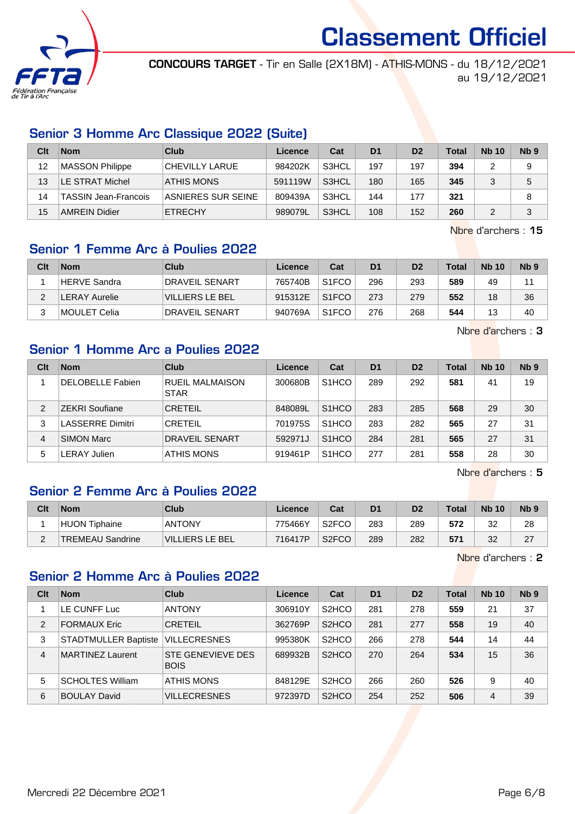

CONCOURS TARGET - Tir en Salle (2X18M) - ATHIS-MONS - du 18/12/2021 au 19/12/2021

## Senior 3 Homme Arc Classique 2022 (Suite)

| Clt | <b>Nom</b>                  | Club               | Licence | Cat   | D <sub>1</sub> | D <sub>2</sub> | <b>Total</b> | <b>Nb 10</b> | Nb <sub>9</sub> |
|-----|-----------------------------|--------------------|---------|-------|----------------|----------------|--------------|--------------|-----------------|
| 12  | MASSON Philippe             | CHEVILLY LARUE     | 984202K | S3HCL | 197            | 197            | 394          |              | 9               |
| 13  | LE STRAT Michel             | <b>ATHIS MONS</b>  | 591119W | S3HCL | 180            | 165            | 345          |              | 5               |
| 14  | <b>TASSIN Jean-Francois</b> | ASNIERES SUR SEINE | 809439A | S3HCL | 144            | 177            | 321          |              | 8               |
| 15  | <b>AMREIN Didier</b>        | <b>ETRECHY</b>     | 989079L | S3HCL | 108            | 152            | 260          |              | 3               |

Nbre d'archers : 15

## Senior 1 Femme Arc à Poulies 2022

| Clt | <b>Nom</b>          | Club                   | Licence | Cat                | D <sub>1</sub> | D <sub>2</sub> | <b>Total</b> | <b>Nb 10</b> | N <sub>b</sub> <sub>9</sub> |
|-----|---------------------|------------------------|---------|--------------------|----------------|----------------|--------------|--------------|-----------------------------|
|     | <b>HERVE Sandra</b> | <b>DRAVEIL SENART</b>  | 765740B | S <sub>1</sub> FCO | 296            | 293            | 589          | 49           | 11                          |
|     | LERAY Aurelie       | <b>VILLIERS LE BEL</b> | 915312E | S <sub>1</sub> FCO | 273            | 279            | 552          | 18           | 36                          |
| っ   | MOULET Celia        | <b>DRAVEIL SENART</b>  | 940769A | S <sub>1</sub> FCO | 276            | 268            | 544          | 13           | 40                          |

Nbre d'archers : 3

## Senior 1 Homme Arc a Poulies 2022

| Clt | <b>Nom</b>              | Club                           | Licence | Cat                | D <sub>1</sub> | D <sub>2</sub> | <b>Total</b> | <b>Nb 10</b> | Nb <sub>9</sub> |
|-----|-------------------------|--------------------------------|---------|--------------------|----------------|----------------|--------------|--------------|-----------------|
|     | <b>DELOBELLE Fabien</b> | RUEIL MALMAISON<br><b>STAR</b> | 300680B | S <sub>1</sub> HCO | 289            | 292            | 581          | 41           | 19              |
| 2   | <b>ZEKRI Soufiane</b>   | <b>CRETEIL</b>                 | 848089L | S <sub>1</sub> HCO | 283            | 285            | 568          | 29           | 30              |
| 3   | <b>LASSERRE Dimitri</b> | <b>CRETEIL</b>                 | 701975S | S <sub>1</sub> HCO | 283            | 282            | 565          | 27           | 31              |
| 4   | <b>SIMON Marc</b>       | <b>DRAVEIL SENART</b>          | 592971J | S <sub>1</sub> HCO | 284            | 281            | 565          | 27           | 31              |
| 5   | <b>LERAY Julien</b>     | ATHIS MONS                     | 919461P | S <sub>1</sub> HCO | 277            | 281            | 558          | 28           | 30              |

Nbre d'archers : 5

## Senior 2 Femme Arc à Poulies 2022

| Clt | <b>Nom</b>              | Club            | Licence | Cat                | D <sub>1</sub> | D <sub>2</sub> | <b>Total</b> | <b>Nb 10</b> | N <sub>b</sub> <sub>9</sub> |
|-----|-------------------------|-----------------|---------|--------------------|----------------|----------------|--------------|--------------|-----------------------------|
|     | HUON Tiphaine           | <b>ANTONY</b>   | 775466Y | S <sub>2</sub> FCO | 283            | 289            | 572          | 32           | 28                          |
| ⌒   | <b>TREMEAU Sandrine</b> | VILLIERS LE BEL | 716417P | S <sub>2</sub> FCO | 289            | 282            | 571          | 32           | 27                          |

Nbre d'archers : 2

## Senior 2 Homme Arc à Poulies 2022

| Clt            | <b>Nom</b>                  | Club                             | Licence | Cat                            | D <sub>1</sub> | D <sub>2</sub> | <b>Total</b> | <b>Nb 10</b>   | N <sub>b</sub> <sub>9</sub> |
|----------------|-----------------------------|----------------------------------|---------|--------------------------------|----------------|----------------|--------------|----------------|-----------------------------|
|                | LE CUNFF Luc                | <b>ANTONY</b>                    | 306910Y | S <sub>2</sub> H <sub>CO</sub> | 281            | 278            | 559          | 21             | 37                          |
| $\overline{2}$ | <b>FORMAUX Eric</b>         | <b>CRETEIL</b>                   | 362769P | S <sub>2</sub> HCO             | 281            | 277            | 558          | 19             | 40                          |
| 3              | <b>STADTMULLER Baptiste</b> | <b>VILLECRESNES</b>              | 995380K | S <sub>2</sub> H <sub>CO</sub> | 266            | 278            | 544          | 14             | 44                          |
| $\overline{4}$ | <b>MARTINEZ Laurent</b>     | STE GENEVIEVE DES<br><b>BOIS</b> | 689932B | S <sub>2</sub> HCO             | 270            | 264            | 534          | 15             | 36                          |
| 5              | <b>SCHOLTES William</b>     | ATHIS MONS                       | 848129E | S <sub>2</sub> H <sub>CO</sub> | 266            | 260            | 526          | 9              | 40                          |
| 6              | <b>BOULAY David</b>         | <b>VILLECRESNES</b>              | 972397D | S <sub>2</sub> HCO             | 254            | 252            | 506          | $\overline{4}$ | 39                          |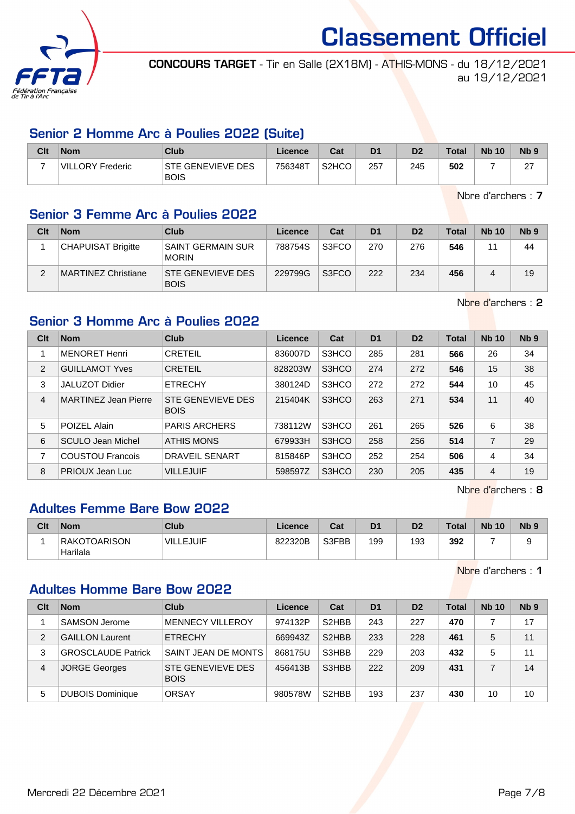

CONCOURS TARGET - Tir en Salle (2X18M) - ATHIS-MONS - du 18/12/2021 au 19/12/2021

#### Senior 2 Homme Arc à Poulies 2022 (Suite)

| Clt | <b>Nom</b>       | Club                                    | Licence | Cat                | D <sub>1</sub> | D <sub>2</sub> | <b>Total</b> | <b>Nb 10</b> | <b>N<sub>b</sub></b> |
|-----|------------------|-----------------------------------------|---------|--------------------|----------------|----------------|--------------|--------------|----------------------|
|     | VILLORY Frederic | <b>STE GENEVIEVE DES</b><br><b>BOIS</b> | 756348T | S <sub>2</sub> HCO | 257            | 245            | 502          |              | ົ<br>-               |

Nbre d'archers : 7

## Senior 3 Femme Arc à Poulies 2022

| Clt | <b>Nom</b>                | <b>Club</b>                              | Licence | Cat   | D <sub>1</sub> | D <sub>2</sub> | <b>Total</b> | <b>Nb 10</b> | N <sub>b</sub> <sub>9</sub> |
|-----|---------------------------|------------------------------------------|---------|-------|----------------|----------------|--------------|--------------|-----------------------------|
|     | <b>CHAPUISAT Brigitte</b> | <b>SAINT GERMAIN SUR</b><br><b>MORIN</b> | 788754S | S3FCO | 270            | 276            | 546          | 11           | 44                          |
| ◠   | MARTINEZ Christiane       | <b>STE GENEVIEVE DES</b><br><b>BOIS</b>  | 229799G | S3FCO | 222            | 234            | 456          |              | 19                          |

Nbre d'archers : 2

## Senior 3 Homme Arc à Poulies 2022

| Clt            | <b>Nom</b>                  | Club                             | <b>Licence</b> | Cat   | D <sub>1</sub> | D <sub>2</sub> | Total | <b>Nb 10</b>   | Nb <sub>9</sub> |
|----------------|-----------------------------|----------------------------------|----------------|-------|----------------|----------------|-------|----------------|-----------------|
|                | <b>MENORET Henri</b>        | <b>CRETEIL</b>                   | 836007D        | S3HCO | 285            | 281            | 566   | 26             | 34              |
| 2              | <b>GUILLAMOT Yves</b>       | <b>CRETEIL</b>                   | 828203W        | S3HCO | 274            | 272            | 546   | 15             | 38              |
| 3              | <b>JALUZOT Didier</b>       | <b>ETRECHY</b>                   | 380124D        | S3HCO | 272            | 272            | 544   | 10             | 45              |
| $\overline{4}$ | <b>MARTINEZ Jean Pierre</b> | STE GENEVIEVE DES<br><b>BOIS</b> | 215404K        | S3HCO | 263            | 271            | 534   | 11             | 40              |
| 5              | POIZEL Alain                | <b>PARIS ARCHERS</b>             | 738112W        | S3HCO | 261            | 265            | 526   | 6              | 38              |
| 6              | SCULO Jean Michel           | <b>ATHIS MONS</b>                | 679933H        | S3HCO | 258            | 256            | 514   | $\overline{7}$ | 29              |
| 7              | <b>COUSTOU Francois</b>     | <b>DRAVEIL SENART</b>            | 815846P        | S3HCO | 252            | 254            | 506   | 4              | 34              |
| 8              | PRIOUX Jean Luc             | <b>VILLEJUIF</b>                 | 598597Z        | S3HCO | 230            | 205            | 435   | $\overline{4}$ | 19              |

Nbre d'archers : 8

## Adultes Femme Bare Bow 2022

| Clt | <b>Nom</b>                | Club                        | Licence | Cat   | D <sub>1</sub> | D <sub>2</sub> | <b>Total</b> | <b>Nb 10</b> | N <sub>b</sub> <sub>9</sub> |
|-----|---------------------------|-----------------------------|---------|-------|----------------|----------------|--------------|--------------|-----------------------------|
|     | RAKOTOARISON <br>Harilala | <b>VIL</b><br><b>LEJUIF</b> | 822320B | S3FBB | 199            | 193            | 392          |              |                             |

Nbre d'archers : 1

## Adultes Homme Bare Bow 2022

| Clt | <b>Nom</b>                | Club                                    | Licence | Cat                            | D <sub>1</sub> | D <sub>2</sub> | Total | <b>Nb 10</b> | N <sub>b</sub> <sub>9</sub> |
|-----|---------------------------|-----------------------------------------|---------|--------------------------------|----------------|----------------|-------|--------------|-----------------------------|
|     | SAMSON Jerome             | <b>MENNECY VILLEROY</b>                 | 974132P | S <sub>2</sub> HBB             | 243            | 227            | 470   |              | 17                          |
| 2   | <b>GAILLON Laurent</b>    | <b>ETRECHY</b>                          | 669943Z | S <sub>2</sub> HBB             | 233            | 228            | 461   | 5            | 11                          |
| 3   | <b>GROSCLAUDE Patrick</b> | SAINT JEAN DE MONTS                     | 868175U | S3HBB                          | 229            | 203            | 432   | 5            | 11                          |
| 4   | JORGE Georges             | <b>STE GENEVIEVE DES</b><br><b>BOIS</b> | 456413B | S3HBB                          | 222            | 209            | 431   |              | 14                          |
| 5   | <b>DUBOIS Dominique</b>   | ORSAY                                   | 980578W | S <sub>2</sub> H <sub>BB</sub> | 193            | 237            | 430   | 10           | 10                          |